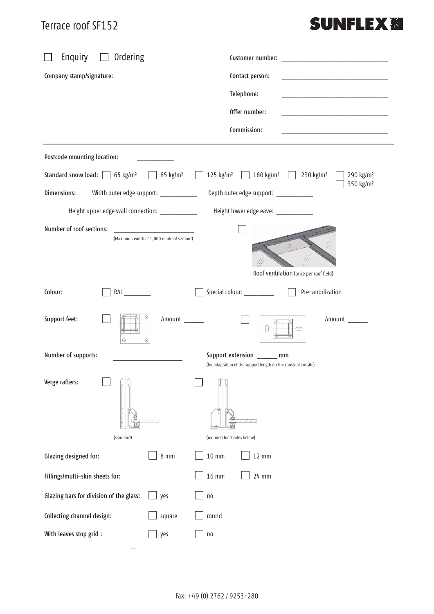#### Terrace roof SF152

# **SUNFLEX<sup>%</sup>**

| Enquiry<br>Ordering                                                                                                   | Customer number:                                                                              |  |  |  |
|-----------------------------------------------------------------------------------------------------------------------|-----------------------------------------------------------------------------------------------|--|--|--|
| Company stamp/signature:                                                                                              | Contact person:<br>the control of the control of the control of the control of the control of |  |  |  |
|                                                                                                                       | Telephone:                                                                                    |  |  |  |
|                                                                                                                       | Offer number:<br>the control of the control of the control of the control of the control of   |  |  |  |
|                                                                                                                       | Commission:<br>the control of the control of the control of the control of the control of     |  |  |  |
| Postcode mounting location:                                                                                           |                                                                                               |  |  |  |
| Standard snow load: $\Box$ 65 kg/m <sup>2</sup><br>85 kg/m <sup>2</sup>                                               | 125 kg/m <sup>2</sup> 160 kg/m <sup>2</sup> 230 kg/m <sup>2</sup><br>290 kg/m <sup>2</sup>    |  |  |  |
| Dimensions:<br>Width outer edge support: ___________                                                                  | 350 kg/m <sup>2</sup><br>Depth outer edge support: __________                                 |  |  |  |
| Height upper edge wall connection: ____________                                                                       | Height lower edge eave: ___________                                                           |  |  |  |
| Number of roof sections:                                                                                              |                                                                                               |  |  |  |
| (Maximum width of 1,000 mm/roof section!)                                                                             |                                                                                               |  |  |  |
|                                                                                                                       | Roof ventilation (price per roof field)                                                       |  |  |  |
|                                                                                                                       |                                                                                               |  |  |  |
| Colour:<br>RAL                                                                                                        | Pre-anodization<br>Special colour: __________                                                 |  |  |  |
| ⊕<br>Support feet:<br>Amount<br>$\odot$<br>$\oplus$                                                                   | Amount                                                                                        |  |  |  |
| Number of supports:<br>Support extension ______ mm<br>(for adaptation of the support length on the construction site) |                                                                                               |  |  |  |
| Verge rafters:                                                                                                        |                                                                                               |  |  |  |
| (standard)                                                                                                            | (required for shades below)                                                                   |  |  |  |
| $8 \text{ mm}$<br>$10 \text{ mm}$<br>Glazing designed for:                                                            | $12 \text{ mm}$                                                                               |  |  |  |
| <b>16 mm</b><br>Fillings/multi-skin sheets for:                                                                       | 24 mm                                                                                         |  |  |  |
| Glazing bars for division of the glass:<br>yes<br>n <sub>0</sub>                                                      |                                                                                               |  |  |  |
| Collecting channel design:<br>round<br>square                                                                         |                                                                                               |  |  |  |
| With leaves stop grid :<br>yes<br>n <sub>0</sub>                                                                      |                                                                                               |  |  |  |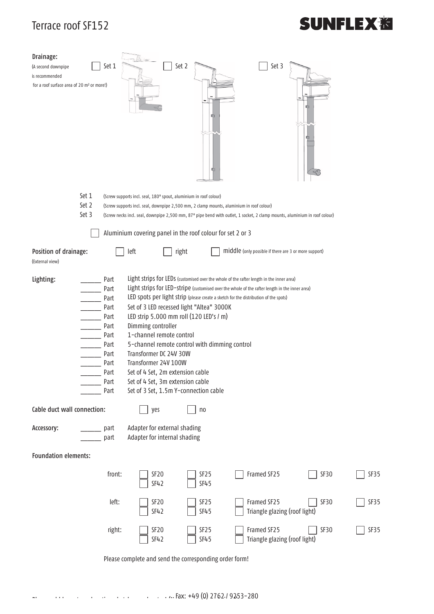#### Terrace roof SF152

# **SUNFLEX<sub>泡</sub>**

| Drainage:<br>(A second downpipe<br>is recommended<br>for a roof surface area of 20 m <sup>2</sup> or more!)                                                                                                                                                                                                                                                                                                                                                                                                                                                                                                                                                                                                                                                           | Set 1        | Set 2                                                        | 咖<br>ю | Set 3                                                 |      |      |  |
|-----------------------------------------------------------------------------------------------------------------------------------------------------------------------------------------------------------------------------------------------------------------------------------------------------------------------------------------------------------------------------------------------------------------------------------------------------------------------------------------------------------------------------------------------------------------------------------------------------------------------------------------------------------------------------------------------------------------------------------------------------------------------|--------------|--------------------------------------------------------------|--------|-------------------------------------------------------|------|------|--|
| Set 1<br>(Screw supports incl. seal, 180° spout, aluminium in roof colour)                                                                                                                                                                                                                                                                                                                                                                                                                                                                                                                                                                                                                                                                                            |              |                                                              |        |                                                       |      |      |  |
| Set 2<br>(Screw supports incl. seal, downpipe 2,500 mm, 2 clamp mounts, aluminium in roof colour)                                                                                                                                                                                                                                                                                                                                                                                                                                                                                                                                                                                                                                                                     |              |                                                              |        |                                                       |      |      |  |
| Set 3<br>(Screw necks incl. seal, downpipe 2,500 mm, 87° pipe bend with outlet, 1 socket, 2 clamp mounts, aluminium in roof colour)                                                                                                                                                                                                                                                                                                                                                                                                                                                                                                                                                                                                                                   |              |                                                              |        |                                                       |      |      |  |
| Aluminium covering panel in the roof colour for set 2 or 3                                                                                                                                                                                                                                                                                                                                                                                                                                                                                                                                                                                                                                                                                                            |              |                                                              |        |                                                       |      |      |  |
| Position of drainage:                                                                                                                                                                                                                                                                                                                                                                                                                                                                                                                                                                                                                                                                                                                                                 | left         | right                                                        |        | middle (only possible if there are 3 or more support) |      |      |  |
| (External view)                                                                                                                                                                                                                                                                                                                                                                                                                                                                                                                                                                                                                                                                                                                                                       |              |                                                              |        |                                                       |      |      |  |
| Light strips for LEDs (customised over the whole of the rafter length in the inner area)<br>Lighting:<br>Part<br>Light strips for LED-stripe (customised over the whole of the rafter length in the inner area)<br>Part<br>LED spots per light strip (please create a sketch for the distribution of the spots)<br>Part<br>Set of 3 LED recessed light "Altea" 3000K<br>Part<br>LED strip 5.000 mm roll (120 LED's / m)<br>Part<br>Dimming controller<br>Part<br>1-channel remote control<br>Part<br>Part<br>5-channel remote control with dimming control<br>Transformer DC 24V 30W<br>Part<br>Transformer 24V 100W<br>Part<br>Part<br>Set of 4 Set, 2m extension cable<br>Set of 4 Set, 3m extension cable<br>Part<br>Set of 3 Set, 1.5m Y-connection cable<br>Part |              |                                                              |        |                                                       |      |      |  |
| Cable duct wall connection:                                                                                                                                                                                                                                                                                                                                                                                                                                                                                                                                                                                                                                                                                                                                           |              | yes<br>n <sub>0</sub>                                        |        |                                                       |      |      |  |
| Accessory:                                                                                                                                                                                                                                                                                                                                                                                                                                                                                                                                                                                                                                                                                                                                                            | part<br>part | Adapter for external shading<br>Adapter for internal shading |        |                                                       |      |      |  |
| <b>Foundation elements:</b>                                                                                                                                                                                                                                                                                                                                                                                                                                                                                                                                                                                                                                                                                                                                           |              |                                                              |        |                                                       |      |      |  |
|                                                                                                                                                                                                                                                                                                                                                                                                                                                                                                                                                                                                                                                                                                                                                                       | front:       | SF <sub>20</sub><br>SF25<br>SF42<br>SF45                     |        | Framed SF25                                           | SF30 | SF35 |  |
|                                                                                                                                                                                                                                                                                                                                                                                                                                                                                                                                                                                                                                                                                                                                                                       | left:        | SF <sub>20</sub><br>SF <sub>25</sub><br><b>SF42</b><br>SF45  |        | Framed SF25<br>Triangle glazing (roof light)          | SF30 | SF35 |  |
|                                                                                                                                                                                                                                                                                                                                                                                                                                                                                                                                                                                                                                                                                                                                                                       | right:       | SF <sub>20</sub><br>SF25<br><b>SF42</b><br>SF45              |        | Framed SF25<br>Triangle glazing (roof light)          | SF30 | SF35 |  |
| Please complete and send the corresponding order form!                                                                                                                                                                                                                                                                                                                                                                                                                                                                                                                                                                                                                                                                                                                |              |                                                              |        |                                                       |      |      |  |